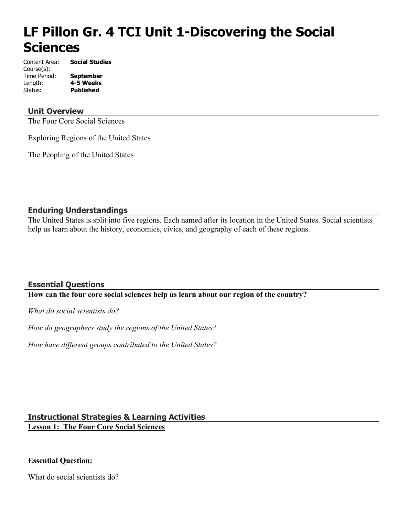# **LF Pillon Gr. 4 TCI Unit 1-Discovering the Social Sciences**

Content Area: **Social Studies** Course(s): Time Period: **September** Length: **4-5 Weeks** Status: **Published**

# **Unit Overview**

The Four Core Social Sciences

Exploring Regions of the United States

The Peopling of the United States

# **Enduring Understandings**

The United States is split into five regions. Each named after its location in the United States. Social scientists help us learn about the history, economics, civics, and geography of each of these regions.

# **Essential Questions**

#### **How can the four core social sciences help us learn about our region of the country?**

*What do social scientists do?*

*How do geographers study the regions of the United States?*

*How have different groups contributed to the United States?*

# **Instructional Strategies & Learning Activities**

**Lesson 1: The Four Core Social Sciences**

# **Essential Question:**

What do social scientists do?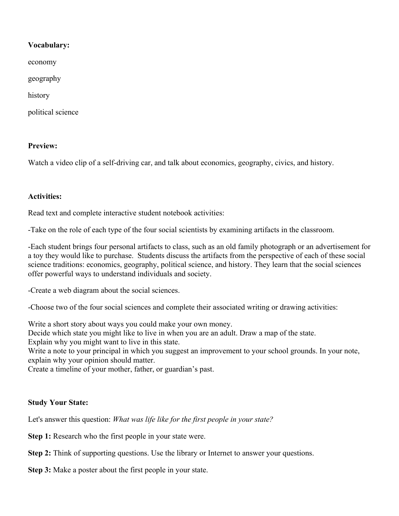# **Vocabulary:**

economy

geography

history

political science

# **Preview:**

Watch a video clip of a self-driving car, and talk about economics, geography, civics, and history.

# **Activities:**

Read text and complete interactive student notebook activities:

-Take on the role of each type of the four social scientists by examining artifacts in the classroom.

-Each student brings four personal artifacts to class, such as an old family photograph or an advertisement for a toy they would like to purchase. Students discuss the artifacts from the perspective of each of these social science traditions: economics, geography, political science, and history. They learn that the social sciences offer powerful ways to understand individuals and society.

-Create a web diagram about the social sciences.

-Choose two of the four social sciences and complete their associated writing or drawing activities:

Write a short story about ways you could make your own money.

Decide which state you might like to live in when you are an adult. Draw a map of the state.

Explain why you might want to live in this state.

Write a note to your principal in which you suggest an improvement to your school grounds. In your note, explain why your opinion should matter.

Create a timeline of your mother, father, or guardian's past.

# **Study Your State:**

Let's answer this question: *What was life like for the first people in your state?*

**Step 1:** Research who the first people in your state were.

**Step 2:** Think of supporting questions. Use the library or Internet to answer your questions.

**Step 3:** Make a poster about the first people in your state.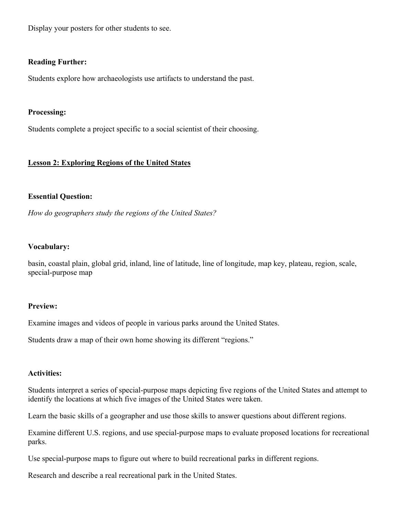Display your posters for other students to see.

#### **Reading Further:**

Students explore how archaeologists use artifacts to understand the past.

#### **Processing:**

Students complete a project specific to a social scientist of their choosing.

# **Lesson 2: Exploring Regions of the United States**

# **Essential Question:**

*How do geographers study the regions of the United States?*

#### **Vocabulary:**

basin, coastal plain, global grid, inland, line of latitude, line of longitude, map key, plateau, region, scale, special-purpose map

#### **Preview:**

Examine images and videos of people in various parks around the United States.

Students draw a map of their own home showing its different "regions."

#### **Activities:**

Students interpret a series of special-purpose maps depicting five regions of the United States and attempt to identify the locations at which five images of the United States were taken.

Learn the basic skills of a geographer and use those skills to answer questions about different regions.

Examine different U.S. regions, and use special-purpose maps to evaluate proposed locations for recreational parks.

Use special-purpose maps to figure out where to build recreational parks in different regions.

Research and describe a real recreational park in the United States.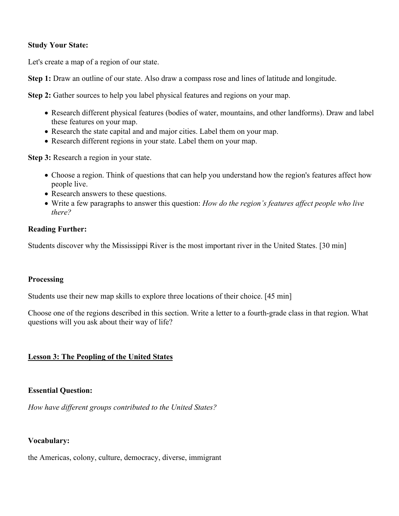# **Study Your State:**

Let's create a map of a region of our state.

**Step 1:** Draw an outline of our state. Also draw a compass rose and lines of latitude and longitude.

**Step 2:** Gather sources to help you label physical features and regions on your map.

- Research different physical features (bodies of water, mountains, and other landforms). Draw and label these features on your map.
- Research the state capital and and major cities. Label them on your map.
- Research different regions in your state. Label them on your map.

**Step 3:** Research a region in your state.

- Choose a region. Think of questions that can help you understand how the region's features affect how people live.
- Research answers to these questions.
- Write a few paragraphs to answer this question: *How do the region's features affect people who live there?*

#### **Reading Further:**

Students discover why the Mississippi River is the most important river in the United States. [30 min]

# **Processing**

Students use their new map skills to explore three locations of their choice. [45 min]

Choose one of the regions described in this section. Write a letter to a fourth-grade class in that region. What questions will you ask about their way of life?

# **Lesson 3: The Peopling of the United States**

# **Essential Question:**

*How have different groups contributed to the United States?*

#### **Vocabulary:**

the Americas, colony, culture, democracy, diverse, immigrant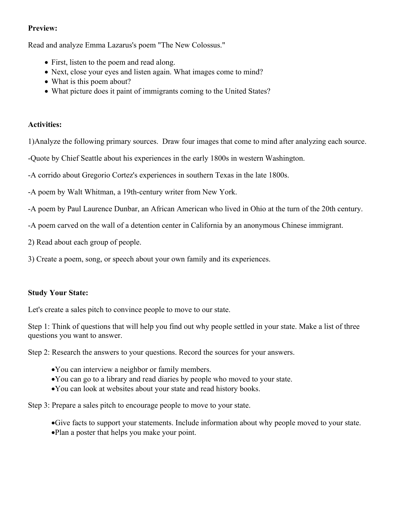# **Preview:**

Read and analyze Emma Lazarus's poem "The New Colossus."

- First, listen to the poem and read along.
- Next, close your eyes and listen again. What images come to mind?
- What is this poem about?
- What picture does it paint of immigrants coming to the United States?

# **Activities:**

1)Analyze the following primary sources. Draw four images that come to mind after analyzing each source.

-Quote by Chief Seattle about his experiences in the early 1800s in western Washington.

-A corrido about Gregorio Cortez's experiences in southern Texas in the late 1800s.

-A poem by Walt Whitman, a 19th-century writer from New York.

-A poem by Paul Laurence Dunbar, an African American who lived in Ohio at the turn of the 20th century.

-A poem carved on the wall of a detention center in California by an anonymous Chinese immigrant.

2) Read about each group of people.

3) Create a poem, song, or speech about your own family and its experiences.

# **Study Your State:**

Let's create a sales pitch to convince people to move to our state.

Step 1: Think of questions that will help you find out why people settled in your state. Make a list of three questions you want to answer.

Step 2: Research the answers to your questions. Record the sources for your answers.

- You can interview a neighbor or family members.
- You can go to a library and read diaries by people who moved to your state.
- You can look at websites about your state and read history books.

Step 3: Prepare a sales pitch to encourage people to move to your state.

Give facts to support your statements. Include information about why people moved to your state. Plan a poster that helps you make your point.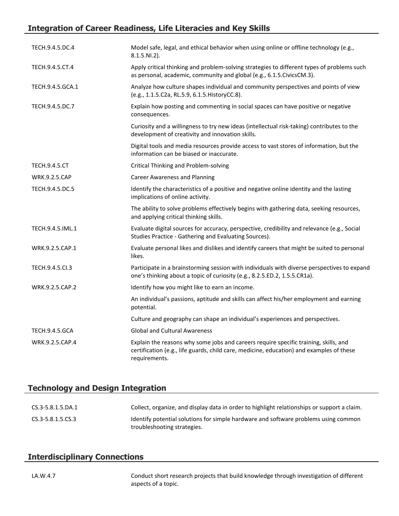# **Integration of Career Readiness, Life Literacies and Key Skills**

| TECH.9.4.5.DC.4       | Model safe, legal, and ethical behavior when using online or offline technology (e.g.,<br>8.1.5.NI.2).                                                                                            |
|-----------------------|---------------------------------------------------------------------------------------------------------------------------------------------------------------------------------------------------|
| TECH.9.4.5.CT.4       | Apply critical thinking and problem-solving strategies to different types of problems such<br>as personal, academic, community and global (e.g., 6.1.5. Civics CM.3).                             |
| TECH.9.4.5.GCA.1      | Analyze how culture shapes individual and community perspectives and points of view<br>(e.g., 1.1.5.C2a, RL.5.9, 6.1.5. HistoryCC.8).                                                             |
| TECH.9.4.5.DC.7       | Explain how posting and commenting in social spaces can have positive or negative<br>consequences.                                                                                                |
|                       | Curiosity and a willingness to try new ideas (intellectual risk-taking) contributes to the<br>development of creativity and innovation skills.                                                    |
|                       | Digital tools and media resources provide access to vast stores of information, but the<br>information can be biased or inaccurate.                                                               |
| <b>TECH.9.4.5.CT</b>  | Critical Thinking and Problem-solving                                                                                                                                                             |
| <b>WRK.9.2.5.CAP</b>  | <b>Career Awareness and Planning</b>                                                                                                                                                              |
| TECH.9.4.5.DC.5       | Identify the characteristics of a positive and negative online identity and the lasting<br>implications of online activity.                                                                       |
|                       | The ability to solve problems effectively begins with gathering data, seeking resources,<br>and applying critical thinking skills.                                                                |
| TECH.9.4.5.IML.1      | Evaluate digital sources for accuracy, perspective, credibility and relevance (e.g., Social<br>Studies Practice - Gathering and Evaluating Sources).                                              |
| WRK.9.2.5.CAP.1       | Evaluate personal likes and dislikes and identify careers that might be suited to personal<br>likes.                                                                                              |
| TECH.9.4.5.Cl.3       | Participate in a brainstorming session with individuals with diverse perspectives to expand<br>one's thinking about a topic of curiosity (e.g., 8.2.5.ED.2, 1.5.5.CR1a).                          |
| WRK.9.2.5.CAP.2       | Identify how you might like to earn an income.                                                                                                                                                    |
|                       | An individual's passions, aptitude and skills can affect his/her employment and earning<br>potential.                                                                                             |
|                       | Culture and geography can shape an individual's experiences and perspectives.                                                                                                                     |
| <b>TECH.9.4.5.GCA</b> | <b>Global and Cultural Awareness</b>                                                                                                                                                              |
| WRK.9.2.5.CAP.4       | Explain the reasons why some jobs and careers require specific training, skills, and<br>certification (e.g., life guards, child care, medicine, education) and examples of these<br>requirements. |

# **Technology and Design Integration**

| CS.3-5.8.1.5.DA.1 | Collect, organize, and display data in order to highlight relationships or support a claim.                        |
|-------------------|--------------------------------------------------------------------------------------------------------------------|
| CS.3-5.8.1.5.CS.3 | Identify potential solutions for simple hardware and software problems using common<br>troubleshooting strategies. |

# **Interdisciplinary Connections**

LA.W.4.7 Conduct short research projects that build knowledge through investigation of different aspects of a topic.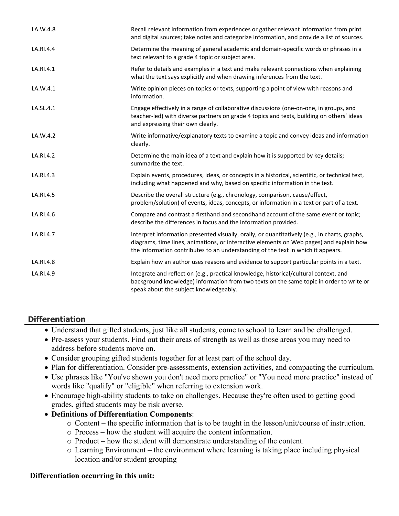| LA.W.4.8  | Recall relevant information from experiences or gather relevant information from print<br>and digital sources; take notes and categorize information, and provide a list of sources.                                                                                         |
|-----------|------------------------------------------------------------------------------------------------------------------------------------------------------------------------------------------------------------------------------------------------------------------------------|
| LA.RI.4.4 | Determine the meaning of general academic and domain-specific words or phrases in a<br>text relevant to a grade 4 topic or subject area.                                                                                                                                     |
| LA.RI.4.1 | Refer to details and examples in a text and make relevant connections when explaining<br>what the text says explicitly and when drawing inferences from the text.                                                                                                            |
| LA.W.4.1  | Write opinion pieces on topics or texts, supporting a point of view with reasons and<br>information.                                                                                                                                                                         |
| LA.SL.4.1 | Engage effectively in a range of collaborative discussions (one-on-one, in groups, and<br>teacher-led) with diverse partners on grade 4 topics and texts, building on others' ideas<br>and expressing their own clearly.                                                     |
| LA.W.4.2  | Write informative/explanatory texts to examine a topic and convey ideas and information<br>clearly.                                                                                                                                                                          |
| LA.RI.4.2 | Determine the main idea of a text and explain how it is supported by key details;<br>summarize the text.                                                                                                                                                                     |
| LA.RI.4.3 | Explain events, procedures, ideas, or concepts in a historical, scientific, or technical text,<br>including what happened and why, based on specific information in the text.                                                                                                |
| LA.RI.4.5 | Describe the overall structure (e.g., chronology, comparison, cause/effect,<br>problem/solution) of events, ideas, concepts, or information in a text or part of a text.                                                                                                     |
| LA.RI.4.6 | Compare and contrast a firsthand and secondhand account of the same event or topic;<br>describe the differences in focus and the information provided.                                                                                                                       |
| LA.RI.4.7 | Interpret information presented visually, orally, or quantitatively (e.g., in charts, graphs,<br>diagrams, time lines, animations, or interactive elements on Web pages) and explain how<br>the information contributes to an understanding of the text in which it appears. |
| LA.RI.4.8 | Explain how an author uses reasons and evidence to support particular points in a text.                                                                                                                                                                                      |
| LA.RI.4.9 | Integrate and reflect on (e.g., practical knowledge, historical/cultural context, and<br>background knowledge) information from two texts on the same topic in order to write or<br>speak about the subject knowledgeably.                                                   |

# **Differentiation**

- Understand that gifted students, just like all students, come to school to learn and be challenged.
- Pre-assess your students. Find out their areas of strength as well as those areas you may need to address before students move on.
- Consider grouping gifted students together for at least part of the school day.
- Plan for differentiation. Consider pre-assessments, extension activities, and compacting the curriculum.
- Use phrases like "You've shown you don't need more practice" or "You need more practice" instead of words like "qualify" or "eligible" when referring to extension work.
- Encourage high-ability students to take on challenges. Because they're often used to getting good grades, gifted students may be risk averse.
- **Definitions of Differentiation Components**:
	- o Content the specific information that is to be taught in the lesson/unit/course of instruction.
	- o Process how the student will acquire the content information.
	- o Product how the student will demonstrate understanding of the content.
	- o Learning Environment the environment where learning is taking place including physical location and/or student grouping

# **Differentiation occurring in this unit:**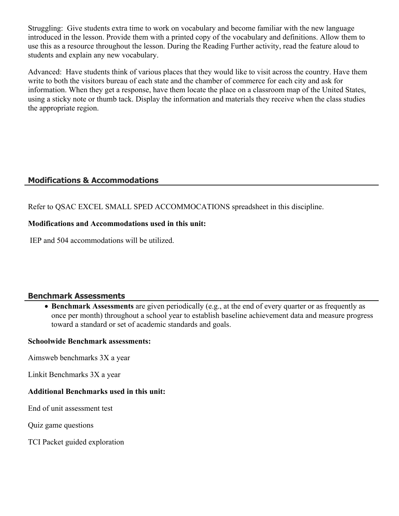Struggling: Give students extra time to work on vocabulary and become familiar with the new language introduced in the lesson. Provide them with a printed copy of the vocabulary and definitions. Allow them to use this as a resource throughout the lesson. During the Reading Further activity, read the feature aloud to students and explain any new vocabulary.

Advanced: Have students think of various places that they would like to visit across the country. Have them write to both the visitors bureau of each state and the chamber of commerce for each city and ask for information. When they get a response, have them locate the place on a classroom map of the United States, using a sticky note or thumb tack. Display the information and materials they receive when the class studies the appropriate region.

# **Modifications & Accommodations**

Refer to QSAC EXCEL SMALL SPED ACCOMMOCATIONS spreadsheet in this discipline.

# **Modifications and Accommodations used in this unit:**

IEP and 504 accommodations will be utilized.

# **Benchmark Assessments**

 **Benchmark Assessments** are given periodically (e.g., at the end of every quarter or as frequently as once per month) throughout a school year to establish baseline achievement data and measure progress toward a standard or set of academic standards and goals.

# **Schoolwide Benchmark assessments:**

Aimsweb benchmarks 3X a year

Linkit Benchmarks 3X a year

# **Additional Benchmarks used in this unit:**

End of unit assessment test

Quiz game questions

TCI Packet guided exploration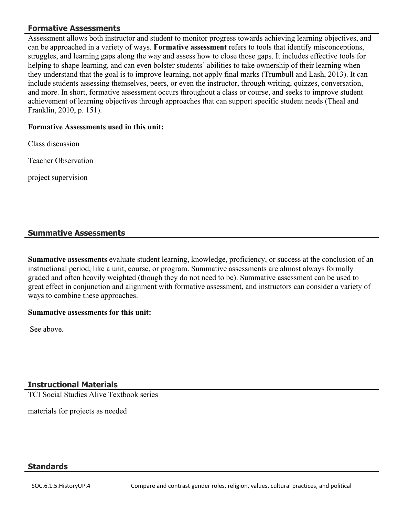# **Formative Assessments**

Assessment allows both instructor and student to monitor progress towards achieving learning objectives, and can be approached in a variety of ways. **Formative assessment** refers to tools that identify misconceptions, struggles, and learning gaps along the way and assess how to close those gaps. It includes effective tools for helping to shape learning, and can even bolster students' abilities to take ownership of their learning when they understand that the goal is to improve learning, not apply final marks (Trumbull and Lash, 2013). It can include students assessing themselves, peers, or even the instructor, through writing, quizzes, conversation, and more. In short, formative assessment occurs throughout a class or course, and seeks to improve student achievement of learning objectives through approaches that can support specific student needs (Theal and Franklin, 2010, p. 151).

#### **Formative Assessments used in this unit:**

Class discussion

Teacher Observation

project supervision

# **Summative Assessments**

**Summative assessments** evaluate student learning, knowledge, proficiency, or success at the conclusion of an instructional period, like a unit, course, or program. Summative assessments are almost always formally graded and often heavily weighted (though they do not need to be). Summative assessment can be used to great effect in conjunction and alignment with formative assessment, and instructors can consider a variety of ways to combine these approaches.

#### **Summative assessments for this unit:**

See above.

# **Instructional Materials**

TCI Social Studies Alive Textbook series

materials for projects as needed

# **Standards**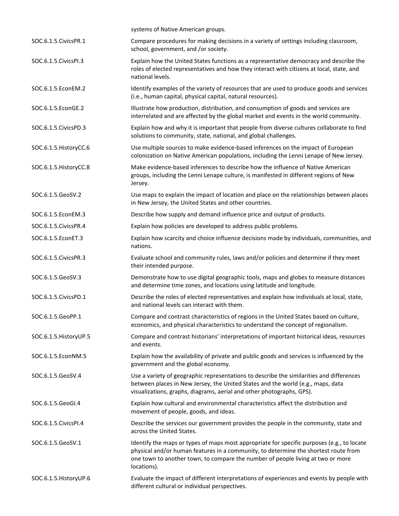|                         | systems of Native American groups.                                                                                                                                                                                                                                                  |
|-------------------------|-------------------------------------------------------------------------------------------------------------------------------------------------------------------------------------------------------------------------------------------------------------------------------------|
| SOC.6.1.5. Civics PR.1  | Compare procedures for making decisions in a variety of settings including classroom,<br>school, government, and /or society.                                                                                                                                                       |
| SOC.6.1.5. Civics PI.3  | Explain how the United States functions as a representative democracy and describe the<br>roles of elected representatives and how they interact with citizens at local, state, and<br>national levels.                                                                             |
| SOC.6.1.5.EconEM.2      | Identify examples of the variety of resources that are used to produce goods and services<br>(i.e., human capital, physical capital, natural resources).                                                                                                                            |
| SOC.6.1.5.EconGE.2      | Illustrate how production, distribution, and consumption of goods and services are<br>interrelated and are affected by the global market and events in the world community.                                                                                                         |
| SOC.6.1.5. Civics PD.3  | Explain how and why it is important that people from diverse cultures collaborate to find<br>solutions to community, state, national, and global challenges.                                                                                                                        |
| SOC.6.1.5. HistoryCC.6  | Use multiple sources to make evidence-based inferences on the impact of European<br>colonization on Native American populations, including the Lenni Lenape of New Jersey.                                                                                                          |
| SOC.6.1.5. HistoryCC.8  | Make evidence-based inferences to describe how the influence of Native American<br>groups, including the Lenni Lenape culture, is manifested in different regions of New<br>Jersey.                                                                                                 |
| SOC.6.1.5.GeoSV.2       | Use maps to explain the impact of location and place on the relationships between places<br>in New Jersey, the United States and other countries.                                                                                                                                   |
| SOC.6.1.5.EconEM.3      | Describe how supply and demand influence price and output of products.                                                                                                                                                                                                              |
| SOC.6.1.5. Civics PR.4  | Explain how policies are developed to address public problems.                                                                                                                                                                                                                      |
| SOC.6.1.5.EconET.3      | Explain how scarcity and choice influence decisions made by individuals, communities, and<br>nations.                                                                                                                                                                               |
| SOC.6.1.5. Civics PR.3  | Evaluate school and community rules, laws and/or policies and determine if they meet<br>their intended purpose.                                                                                                                                                                     |
| SOC.6.1.5.GeoSV.3       | Demonstrate how to use digital geographic tools, maps and globes to measure distances<br>and determine time zones, and locations using latitude and longitude.                                                                                                                      |
| SOC.6.1.5. Civics PD.1  | Describe the roles of elected representatives and explain how individuals at local, state,<br>and national levels can interact with them.                                                                                                                                           |
| SOC.6.1.5.GeoPP.1       | Compare and contrast characteristics of regions in the United States based on culture,<br>economics, and physical characteristics to understand the concept of regionalism.                                                                                                         |
| SOC.6.1.5. History UP.5 | Compare and contrast historians' interpretations of important historical ideas, resources<br>and events.                                                                                                                                                                            |
| SOC.6.1.5.EconNM.5      | Explain how the availability of private and public goods and services is influenced by the<br>government and the global economy.                                                                                                                                                    |
| SOC.6.1.5.GeoSV.4       | Use a variety of geographic representations to describe the similarities and differences<br>between places in New Jersey, the United States and the world (e.g., maps, data<br>visualizations, graphs, diagrams, aerial and other photographs, GPS).                                |
| SOC.6.1.5.GeoGI.4       | Explain how cultural and environmental characteristics affect the distribution and<br>movement of people, goods, and ideas.                                                                                                                                                         |
| SOC.6.1.5. Civics PI.4  | Describe the services our government provides the people in the community, state and<br>across the United States.                                                                                                                                                                   |
| SOC.6.1.5.GeoSV.1       | Identify the maps or types of maps most appropriate for specific purposes (e.g., to locate<br>physical and/or human features in a community, to determine the shortest route from<br>one town to another town, to compare the number of people living at two or more<br>locations). |
| SOC.6.1.5. History UP.6 | Evaluate the impact of different interpretations of experiences and events by people with<br>different cultural or individual perspectives.                                                                                                                                         |